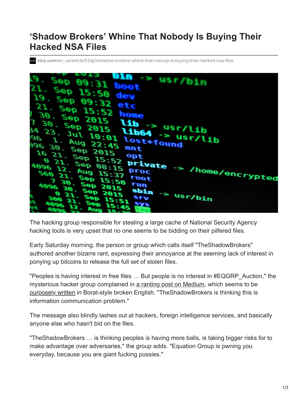## **'Shadow Brokers' Whine That Nobody Is Buying Their Hacked NSA Files**

**vice.com**[/en\\_us/article/53djj3/shadow-brokers-whine-that-nobody-is-buying-their-hacked-nsa-files](https://www.vice.com/en_us/article/53djj3/shadow-brokers-whine-that-nobody-is-buying-their-hacked-nsa-files)



The hacking group responsible for stealing a large cache of National Security Agency hacking tools is very upset that no one seems to be bidding on their pilfered files.

Early Saturday morning, the person or group which calls itself "TheShadowBrokers" authored another bizarre rant, expressing their annoyance at the seeming lack of interest in ponying up bitcoins to release the full set of stolen files.

"Peoples is having interest in free files … But people is no interest in #EQGRP\_Auction," the mysterious hacker group complained in [a ranting post on Medium](https://medium.com/@shadowbrokerss/theshadowbrokers-message-3-af1b181b481#.egnq4tt85), which seems to be [purposely written](https://motherboard.vice.com/read/the-shadow-brokers-nsa-leakers-linguistic-analysis) in Borat-style broken English. "TheShadowBrokers is thinking this is information communication problem."

The message also blindly lashes out at hackers, foreign intelligence services, and basically anyone else who hasn't bid on the files.

"TheShadowBrokers … is thinking peoples is having more balls, is taking bigger risks for to make advantage over adversaries," the group adds. "Equation Group is pwning you everyday, because you are giant fucking pussies."